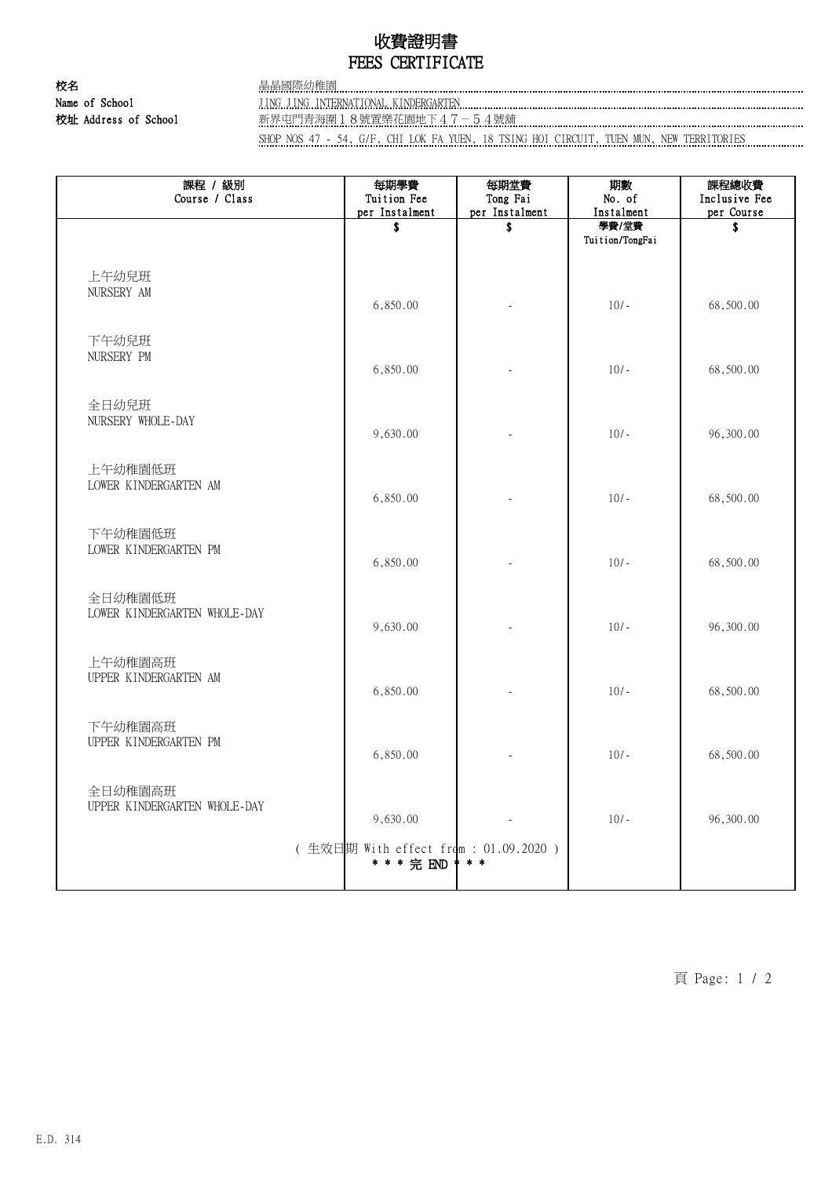## 收費證明書 FEES CERTIFICATE

校名 またま こうしょう 最晶國際幼稚園

Name of School JING JING INTERNATIONAL KINDERGARTEN

校址 Address of School 新界屯門青海圍18號置樂花園地下47-54號舖

SHOP NOS 47 - 54, G/F, CHI LOK FA YUEN, 18 TSING HOI CIRCUIT, TUEN MUN, NEW TERRITORIES

| 課程 / 級別<br>Course / Class               | 每期學費<br>Tuition Fee<br>per Instalment               | 每期堂費<br>Tong Fai<br>per Instalment | 期數<br>No. of<br>Instalment | 課程總收費<br>Inclusive Fee<br>per Course |
|-----------------------------------------|-----------------------------------------------------|------------------------------------|----------------------------|--------------------------------------|
|                                         | \$                                                  | \$                                 | 學費/堂費<br>Tuition/TongFai   | S                                    |
| 上午幼兒班<br>NURSERY AM                     | 6,850.00                                            |                                    | $10/-$                     | 68,500.00                            |
| 下午幼兒班<br>NURSERY PM                     | 6,850.00                                            |                                    | $10/-$                     | 68,500.00                            |
| 全日幼兒班<br>NURSERY WHOLE-DAY              | 9,630.00                                            |                                    | $10/-$                     | 96,300.00                            |
| 上午幼稚園低班<br>LOWER KINDERGARTEN AM        | 6,850.00                                            |                                    | $10/-$                     | 68,500.00                            |
| 下午幼稚園低班<br>LOWER KINDERGARTEN PM        | 6,850.00                                            |                                    | $10/-$                     | 68,500.00                            |
| 全日幼稚園低班<br>LOWER KINDERGARTEN WHOLE-DAY | 9,630.00                                            |                                    | $10/-$                     | 96,300.00                            |
| 上午幼稚園高班<br>UPPER KINDERGARTEN AM        | 6,850.00                                            |                                    | $10/-$                     | 68,500.00                            |
| 下午幼稚園高班<br>UPPER KINDERGARTEN PM        | 6,850.00                                            |                                    | $10/-$                     | 68,500.00                            |
| 全日幼稚園高班<br>UPPER KINDERGARTEN WHOLE-DAY | 9,630.00                                            |                                    | $10/-$                     | 96,300.00                            |
|                                         | (生效日期 With effect from : 01.09.2020)<br>* * * 完 END | $*$ $*$                            |                            |                                      |

頁 Page: 1 / 2